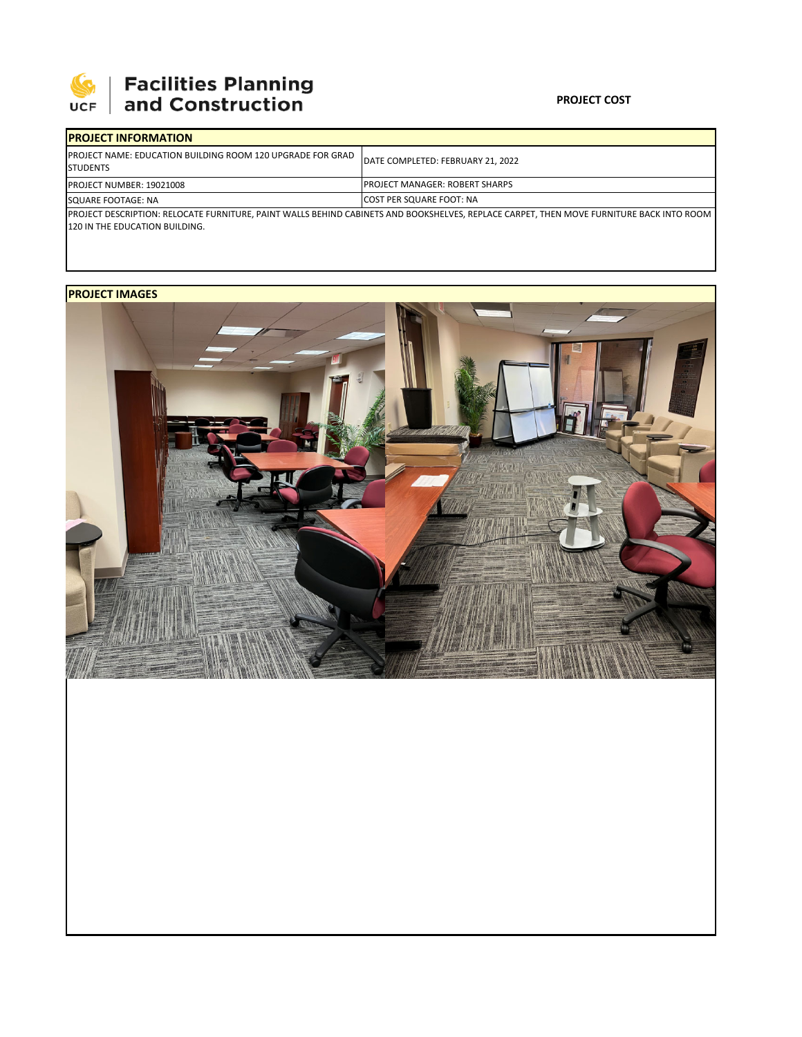

## 

## **PROJECT COST**

| <b>IPROJECT INFORMATION</b>                                                                                                              |                                        |  |  |  |
|------------------------------------------------------------------------------------------------------------------------------------------|----------------------------------------|--|--|--|
| <b>IPROJECT NAME: EDUCATION BUILDING ROOM 120 UPGRADE FOR GRAD</b><br><b>I</b> STUDENTS                                                  | DATE COMPLETED: FEBRUARY 21, 2022      |  |  |  |
| <b>PROJECT NUMBER: 19021008</b>                                                                                                          | <b>IPROJECT MANAGER: ROBERT SHARPS</b> |  |  |  |
| SQUARE FOOTAGE: NA                                                                                                                       | <b>ICOST PER SQUARE FOOT: NA</b>       |  |  |  |
| PROJECT DESCRIPTION: RELOCATE FURNITURE, PAINT WALLS BEHIND CABINETS AND BOOKSHELVES, REPLACE CARPET, THEN MOVE FURNITURE BACK INTO ROOM |                                        |  |  |  |
| 120 IN THE EDUCATION BUILDING.                                                                                                           |                                        |  |  |  |

**PROJECT IMAGES**